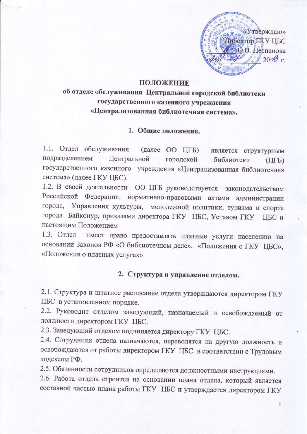«Утверждаю» Пиректор ГКУ ЦБС О.В. Неспанова  $20 \mathcal{H}$ r

## ПОЛОЖЕНИЕ

об отделе обслуживания Центральной городской библиотеки государственного казенного учреждения «Централизованная библиотечная система».

# 1. Общие положения.

1.1. Отдел обслуживания (далее ОО ЦГБ) является структурным подразделением Центральной городской библиотеки  $(III)$ государственного казенного учреждения «Централизованная библиотечная система» (далее ГКУ ЦБС).

1.2. В своей деятельности ОО ЦГБ руководствуется законодательством Российской Федерации, нормативно-правовыми актами администрации города, Управления культуры, молодежной политики, туризма и спорта города Байконур, приказами директора ГКУ ЦБС, Уставом ГКУ ЦБС и настоящим Положением

1.3. Отдел имеет право предоставлять платные услуги населению на основании Законов РФ «О библиотечном деле», «Положения о ГКУ ЦБС», «Положения о платных услугах».

## 2. Структура и управление отделом.

2.1. Структура и штатное расписание отдела утверждаются директором ГКУ ЦБС в установленном порядке.

2.2. Руководит отделом заведующий, назначаемый и освобождаемый от должности директором ГКУ ЦБС.

2.3. Заведующий отделом подчиняется директору ГКУ ЦБС.

2.4. Сотрудники отдела назначаются, переводятся на другую должность и освобождаются от работы директором ГКУ ЦБС в соответствии с Трудовым кодексом РФ.

2.5. Обязанности сотрудников определяются должностными инструкциями.

2.6. Работа отдела строится на основании плана отдела, который является составной частью плана работы ГКУ ЦБС и утверждается директором ГКУ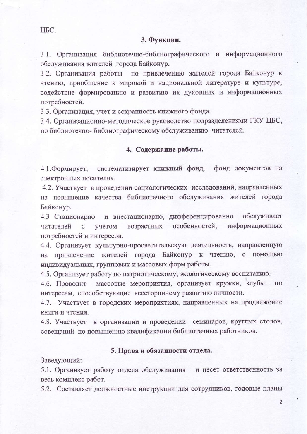#### 3. Функции.

3.1. Организация библиотечно-библиографического и информационного обслуживания жителей города Байконур.

3.2. Организация работы по привлечению жителей города Байконур к чтению, приобщение к мировой и национальной литературе и культуре, содействие формированию и развитию их духовных и информационных потребностей.

3.3. Организация, учет и сохранность книжного фонда.

3.4. Организационно-методическое руководство подразделениями ГКУ ЦБС, по библиотечно- библиографическому обслуживанию читателей.

#### 4. Содержание работы.

4.1. Формирует, систематизирует книжный фонд, фонд документов на электронных носителях.

4.2. Участвует в проведении социологических исследований, направленных на повышение качества библиотечного обслуживания жителей города Байконур.

4.3 Стационарно и внестационарно, дифференцированно обслуживает особенностей, информационных читателей  $\mathbf{C}$ учетом возрастных потребностей и интересов.

4.4. Организует культурно-просветительскую деятельность, направленную на привлечение жителей города Байконур к чтению, с помощью индивидуальных, групповых и массовых форм работы.

4.5. Организует работу по патриотическому, экологическому воспитанию.

4.6. Проводит массовые мероприятия, организует кружки, клубы по интересам, способствующие всестороннему развитию личности.

4.7. Участвует в городских мероприятиях, направленных на продвижение книги и чтения.

4.8. Участвует в организации и проведении семинаров, круглых столов, совещаний по повышению квалификации библиотечных работников.

#### 5. Права и обязанности отдела.

Заведующий:

5.1. Организует работу отдела обслуживания и несет ответственность за весь комплекс работ.

5.2. Составляет должностные инструкции для сотрудников, годовые планы

 $\overline{2}$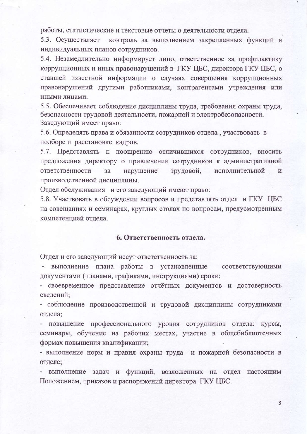работы, статистические и текстовые отчеты о деятельности отдела.

5.3. Осуществляет контроль за выполнением закрепленных функций и индивидуальных планов сотрудников.

5.4. Незамедлительно информирует лицо, ответственное за профилактику коррупционных и иных правонарушений в ГКУ ЦБС, директора ГКУ ЦБС, о ставшей известной информации о случаях совершения коррупционных правонарушений другими работниками, контрагентами учреждения или иными лицами.

5.5. Обеспечивает соблюдение дисциплины труда, требования охраны труда, безопасности трудовой деятельности, пожарной и электробезопасности. Заведующий имеет право:

5.6. Определять права и обязанности сотрудников отдела, участвовать в подборе и расстановке кадров.

5.7. Представлять к поощрению отличившихся сотрудников, вносить предложения директору о привлечении сотрудников к административной ответственности за нарушение трудовой, исполнительной И производственной дисциплины.

Отдел обслуживания и его заведующий имеют право:

5.8. Участвовать в обсуждении вопросов и представлять отдел и ГКУ ЦБС на совещаниях и семинарах, круглых столах по вопросам, предусмотренным компетенцией отдела.

#### 6. Ответственность отдела.

Отдел и его заведующий несут ответственность за:

- выполнение плана работы в установленные соответствующими документами (планами, графиками, инструкциями) сроки;

- своевременное представление отчётных документов и достоверность сведений;

- соблюдение производственной и трудовой дисциплины сотрудниками отдела;

- повышение профессионального уровня сотрудников отдела: курсы, семинары, обучение на рабочих местах, участие в общебиблиотечных формах повышения квалификации;

- выполнение норм и правил охраны труда и пожарной безопасности в отделе;

- выполнение задач и функций, возложенных на отдел настоящим Положением, приказов и распоряжений директора ГКУ ЦБС.